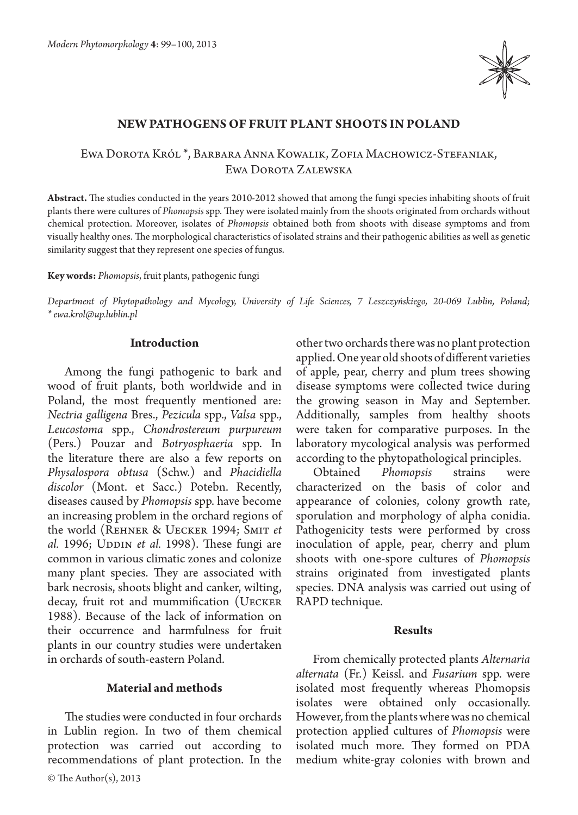

## **New pathogens of fruit plant shoots in Poland**

## Ewa Dorota Król \*, Barbara Anna Kowalik, Zofia Machowicz-Stefaniak, Ewa Dorota Zalewska

**Abstract.** The studies conducted in the years 2010-2012 showed that among the fungi species inhabiting shoots of fruit plants there were cultures of *Phomopsis* spp. They were isolated mainly from the shoots originated from orchards without chemical protection. Moreover, isolates of *Phomopsis* obtained both from shoots with disease symptoms and from visually healthy ones. The morphological characteristics of isolated strains and their pathogenic abilities as well as genetic similarity suggest that they represent one species of fungus.

#### **Key words:** *Phomopsis*, fruit plants, pathogenic fungi

*Department of Phytopathology and Mycology, University of Life Sciences, 7 Leszczyńskiego, 20-069 Lublin, Poland; \* ewa.krol@up.lublin.pl*

#### **Introduction**

Among the fungi pathogenic to bark and wood of fruit plants, both worldwide and in Poland, the most frequently mentioned are: *Nectria galligena* Bres., *Pezicula* spp., *Valsa* spp., *Leucostoma* spp., *Chondrostereum purpureum*  (Pers.) Pouzar and *Botryosphaeria* spp. In the literature there are also a few reports on *Physalospora obtusa* (Schw.) and *Phacidiella discolor* (Mont. et Sacc.) Potebn. Recently, diseases caused by *Phomopsis* spp. have become an increasing problem in the orchard regions of the world (Rehner & Uecker 1994; Smit *et al.* 1996; UDDIN *et al.* 1998). These fungi are common in various climatic zones and colonize many plant species. They are associated with bark necrosis, shoots blight and canker, wilting, decay, fruit rot and mummification (UECKER 1988). Because of the lack of information on their occurrence and harmfulness for fruit plants in our country studies were undertaken in orchards of south-eastern Poland.

## **Material and methods**

The studies were conducted in four orchards in Lublin region. In two of them chemical protection was carried out according to recommendations of plant protection. In the other two orchards there was no plant protection applied. One year old shoots of different varieties of apple, pear, cherry and plum trees showing disease symptoms were collected twice during the growing season in May and September. Additionally, samples from healthy shoots were taken for comparative purposes. In the laboratory mycological analysis was performed according to the phytopathological principles.

Obtained *Phomopsis* strains were characterized on the basis of color and appearance of colonies, colony growth rate, sporulation and morphology of alpha conidia. Pathogenicity tests were performed by cross inoculation of apple, pear, cherry and plum shoots with one-spore cultures of *Phomopsis*  strains originated from investigated plants species. DNA analysis was carried out using of RAPD technique.

#### **Results**

From chemically protected plants *Alternaria alternata* (Fr.) Keissl. and *Fusarium* spp. were isolated most frequently whereas Phomopsis isolates were obtained only occasionally. However, from the plants where was no chemical protection applied cultures of *Phomopsis* were isolated much more. They formed on PDA medium white-gray colonies with brown and